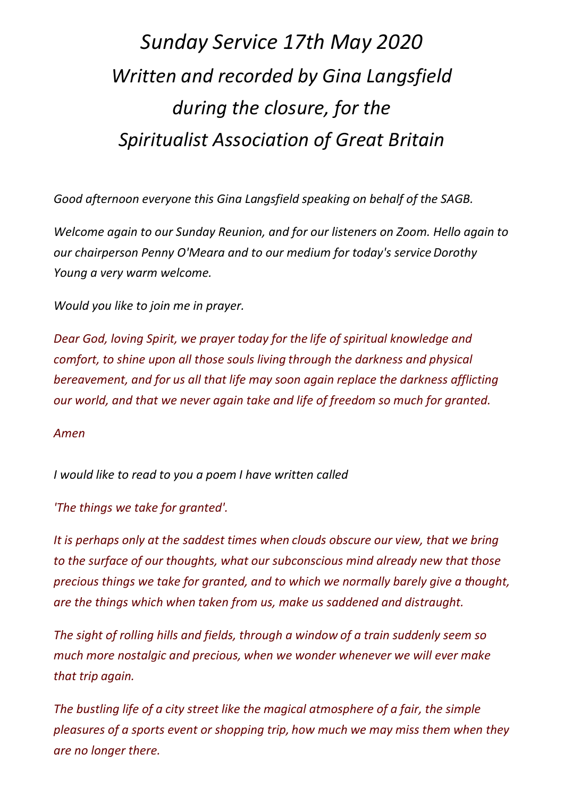## *Sunday Service 17th May 2020 Written and recorded by Gina Langsfield during the closure, for the Spiritualist Association of Great Britain*

*Good afternoon everyone this Gina Langsfield speaking on behalf of the SAGB.*

*Welcome again to our Sunday Reunion, and for our listeners on Zoom. Hello again to our chairperson Penny O'Meara and to our medium for today's service Dorothy Young a very warm welcome.* 

*Would you like to join me in prayer.*

*Dear God, loving Spirit, we prayer today for the life of spiritual knowledge and comfort, to shine upon all those souls living through the darkness and physical bereavement, and for us all that life may soon again replace the darkness afflicting our world, and that we never again take and life of freedom so much for granted.*

*Amen*

*I would like to read to you a poem I have written called*

*'The things we take for granted'.* 

*It is perhaps only at the saddest times when clouds obscure our view, that we bring to the surface of our thoughts, what our subconscious mind already new that those precious things we take for granted, and to which we normally barely give a thought, are the things which when taken from us, make us saddened and distraught.*

*The sight of rolling hills and fields, through a window of a train suddenly seem so much more nostalgic and precious, when we wonder whenever we will ever make that trip again.*

*The bustling life of a city street like the magical atmosphere of a fair, the simple pleasures of a sports event or shopping trip, how much we may miss them when they are no longer there.*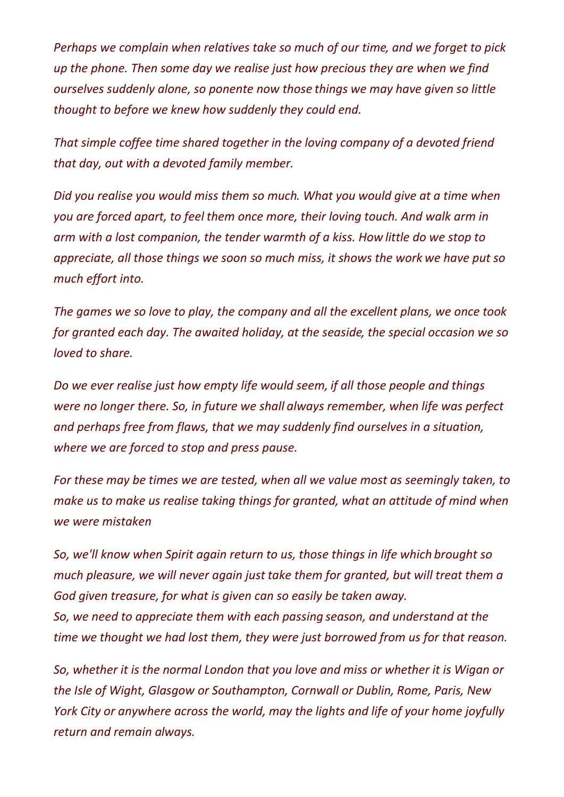*Perhaps we complain when relatives take so much of our time, and we forget to pick up the phone. Then some day we realise just how precious they are when we find ourselves suddenly alone, so ponente now those things we may have given so little thought to before we knew how suddenly they could end.*

*That simple coffee time shared together in the loving company of a devoted friend that day, out with a devoted family member.*

*Did you realise you would miss them so much. What you would give at a time when you are forced apart, to feel them once more, their loving touch. And walk arm in arm with a lost companion, the tender warmth of a kiss. How little do we stop to appreciate, all those things we soon so much miss, it shows the work we have put so much effort into.*

*The games we so love to play, the company and all the excellent plans, we once took for granted each day. The awaited holiday, at the seaside, the special occasion we so loved to share.*

*Do we ever realise just how empty life would seem, if all those people and things were no longer there. So, in future we shall always remember, when life was perfect and perhaps free from flaws, that we may suddenly find ourselves in a situation, where we are forced to stop and press pause.* 

*For these may be times we are tested, when all we value most as seemingly taken, to make us to make us realise taking things for granted, what an attitude of mind when we were mistaken* 

*So, we'll know when Spirit again return to us, those things in life which brought so much pleasure, we will never again just take them for granted, but will treat them a God given treasure, for what is given can so easily be taken away. So, we need to appreciate them with each passing season, and understand at the time we thought we had lost them, they were just borrowed from us for that reason.* 

*So, whether it is the normal London that you love and miss or whether it is Wigan or the Isle of Wight, Glasgow or Southampton, Cornwall or Dublin, Rome, Paris, New York City or anywhere across the world, may the lights and life of your home joyfully return and remain always.*